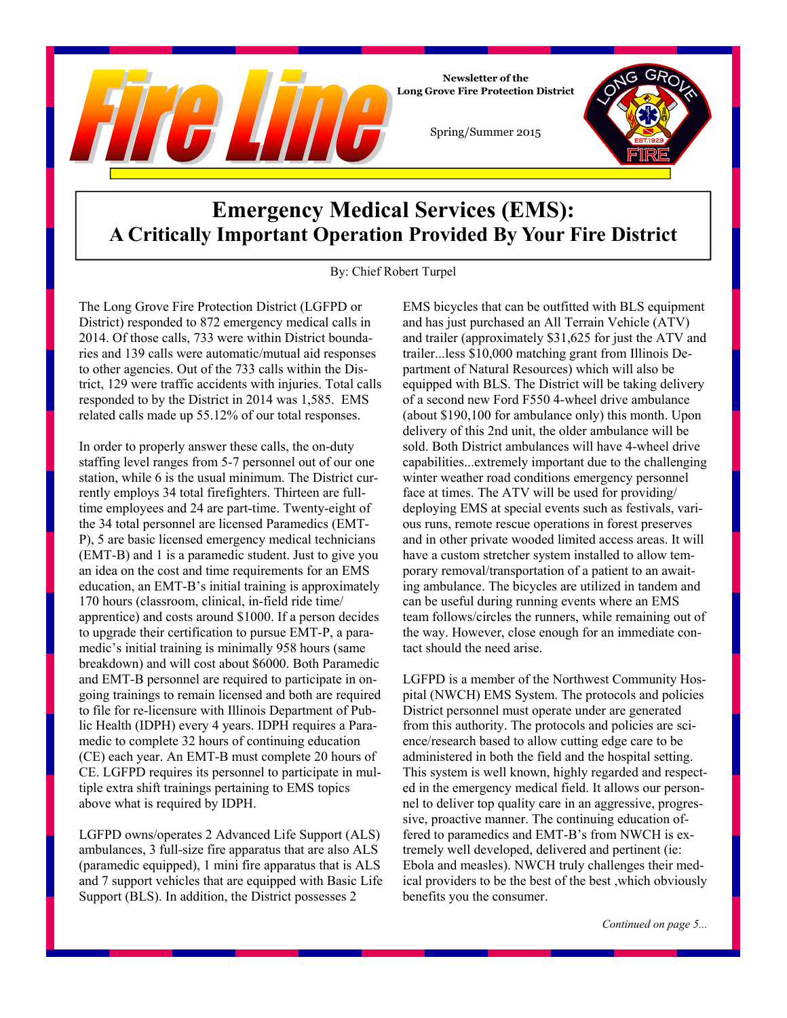

### **Emergency Medical Services (EMS): A Critically Important Operation Provided By Your Fire District**

Spring/Summer 2015

**Newsletter of the** 

By: Chief Robert Turpel

The Long Grove Fire Protection District (LGFPD or District) responded to 872 emergency medical calls in 2014. Of those calls, 733 were within District boundaries and 139 calls were automatic/mutual aid responses to other agencies. Out of the 733 calls within the District, 129 were traffic accidents with injuries. Total calls responded to by the District in 2014 was 1,585. EMS related calls made up 55.12% of our total responses.

In order to properly answer these calls, the on-duty staffing level ranges from 5-7 personnel out of our one station, while 6 is the usual minimum. The District currently employs 34 total firefighters. Thirteen are fulltime employees and 24 are part-time. Twenty-eight of the 34 total personnel are licensed Paramedics (EMT-P), 5 are basic licensed emergency medical technicians (EMT-B) and 1 is a paramedic student. Just to give you an idea on the cost and time requirements for an EMS education, an EMT-B's initial training is approximately 170 hours (classroom, clinical, in-field ride time/ apprentice) and costs around \$1000. If a person decides to upgrade their certification to pursue EMT-P, a paramedic's initial training is minimally 958 hours (same breakdown) and will cost about \$6000. Both Paramedic and EMT-B personnel are required to participate in ongoing trainings to remain licensed and both are required to file for re-licensure with Illinois Department of Public Health (IDPH) every 4 years. IDPH requires a Paramedic to complete 32 hours of continuing education (CE) each year. An EMT-B must complete 20 hours of CE. LGFPD requires its personnel to participate in multiple extra shift trainings pertaining to EMS topics above what is required by IDPH.

LGFPD owns/operates 2 Advanced Life Support (ALS) ambulances, 3 full-size fire apparatus that are also ALS (paramedic equipped), 1 mini fire apparatus that is ALS and 7 support vehicles that are equipped with Basic Life Support (BLS). In addition, the District possesses 2

EMS bicycles that can be outfitted with BLS equipment and has just purchased an All Terrain Vehicle (ATV) and trailer (approximately \$31,625 for just the ATV and trailer...less \$10,000 matching grant from Illinois Department of Natural Resources) which will also be equipped with BLS. The District will be taking delivery of a second new Ford F550 4-wheel drive ambulance (about \$190,100 for ambulance only) this month. Upon delivery of this 2nd unit, the older ambulance will be sold. Both District ambulances will have 4-wheel drive capabilities...extremely important due to the challenging winter weather road conditions emergency personnel face at times. The ATV will be used for providing/ deploying EMS at special events such as festivals, various runs, remote rescue operations in forest preserves and in other private wooded limited access areas. It will have a custom stretcher system installed to allow temporary removal/transportation of a patient to an awaiting ambulance. The bicycles are utilized in tandem and can be useful during running events where an EMS team follows/circles the runners, while remaining out of the way. However, close enough for an immediate contact should the need arise.

LGFPD is a member of the Northwest Community Hospital (NWCH) EMS System. The protocols and policies District personnel must operate under are generated from this authority. The protocols and policies are science/research based to allow cutting edge care to be administered in both the field and the hospital setting. This system is well known, highly regarded and respected in the emergency medical field. It allows our personnel to deliver top quality care in an aggressive, progressive, proactive manner. The continuing education offered to paramedics and EMT-B's from NWCH is extremely well developed, delivered and pertinent (ie: Ebola and measles). NWCH truly challenges their medical providers to be the best of the best ,which obviously benefits you the consumer.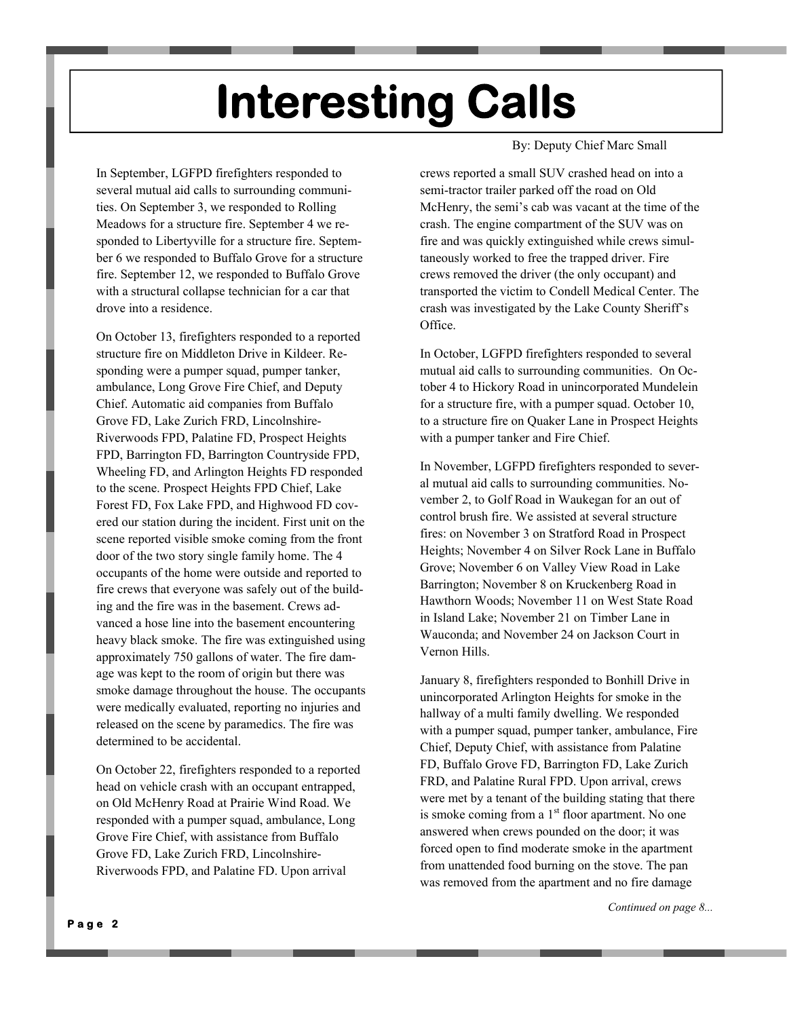# **Interesting Calls**

In September, LGFPD firefighters responded to several mutual aid calls to surrounding communities. On September 3, we responded to Rolling Meadows for a structure fire. September 4 we responded to Libertyville for a structure fire. September 6 we responded to Buffalo Grove for a structure fire. September 12, we responded to Buffalo Grove with a structural collapse technician for a car that drove into a residence.

On October 13, firefighters responded to a reported structure fire on Middleton Drive in Kildeer. Responding were a pumper squad, pumper tanker, ambulance, Long Grove Fire Chief, and Deputy Chief. Automatic aid companies from Buffalo Grove FD, Lake Zurich FRD, Lincolnshire-Riverwoods FPD, Palatine FD, Prospect Heights FPD, Barrington FD, Barrington Countryside FPD, Wheeling FD, and Arlington Heights FD responded to the scene. Prospect Heights FPD Chief, Lake Forest FD, Fox Lake FPD, and Highwood FD covered our station during the incident. First unit on the scene reported visible smoke coming from the front door of the two story single family home. The 4 occupants of the home were outside and reported to fire crews that everyone was safely out of the building and the fire was in the basement. Crews advanced a hose line into the basement encountering heavy black smoke. The fire was extinguished using approximately 750 gallons of water. The fire damage was kept to the room of origin but there was smoke damage throughout the house. The occupants were medically evaluated, reporting no injuries and released on the scene by paramedics. The fire was determined to be accidental.

On October 22, firefighters responded to a reported head on vehicle crash with an occupant entrapped, on Old McHenry Road at Prairie Wind Road. We responded with a pumper squad, ambulance, Long Grove Fire Chief, with assistance from Buffalo Grove FD, Lake Zurich FRD, Lincolnshire-Riverwoods FPD, and Palatine FD. Upon arrival

#### By: Deputy Chief Marc Small

crews reported a small SUV crashed head on into a semi-tractor trailer parked off the road on Old McHenry, the semi's cab was vacant at the time of the crash. The engine compartment of the SUV was on fire and was quickly extinguished while crews simultaneously worked to free the trapped driver. Fire crews removed the driver (the only occupant) and transported the victim to Condell Medical Center. The crash was investigated by the Lake County Sheriff's Office.

In October, LGFPD firefighters responded to several mutual aid calls to surrounding communities. On October 4 to Hickory Road in unincorporated Mundelein for a structure fire, with a pumper squad. October 10, to a structure fire on Quaker Lane in Prospect Heights with a pumper tanker and Fire Chief.

In November, LGFPD firefighters responded to several mutual aid calls to surrounding communities. November 2, to Golf Road in Waukegan for an out of control brush fire. We assisted at several structure fires: on November 3 on Stratford Road in Prospect Heights; November 4 on Silver Rock Lane in Buffalo Grove; November 6 on Valley View Road in Lake Barrington; November 8 on Kruckenberg Road in Hawthorn Woods; November 11 on West State Road in Island Lake; November 21 on Timber Lane in Wauconda; and November 24 on Jackson Court in Vernon Hills.

January 8, firefighters responded to Bonhill Drive in unincorporated Arlington Heights for smoke in the hallway of a multi family dwelling. We responded with a pumper squad, pumper tanker, ambulance, Fire Chief, Deputy Chief, with assistance from Palatine FD, Buffalo Grove FD, Barrington FD, Lake Zurich FRD, and Palatine Rural FPD. Upon arrival, crews were met by a tenant of the building stating that there is smoke coming from a  $1<sup>st</sup>$  floor apartment. No one answered when crews pounded on the door; it was forced open to find moderate smoke in the apartment from unattended food burning on the stove. The pan was removed from the apartment and no fire damage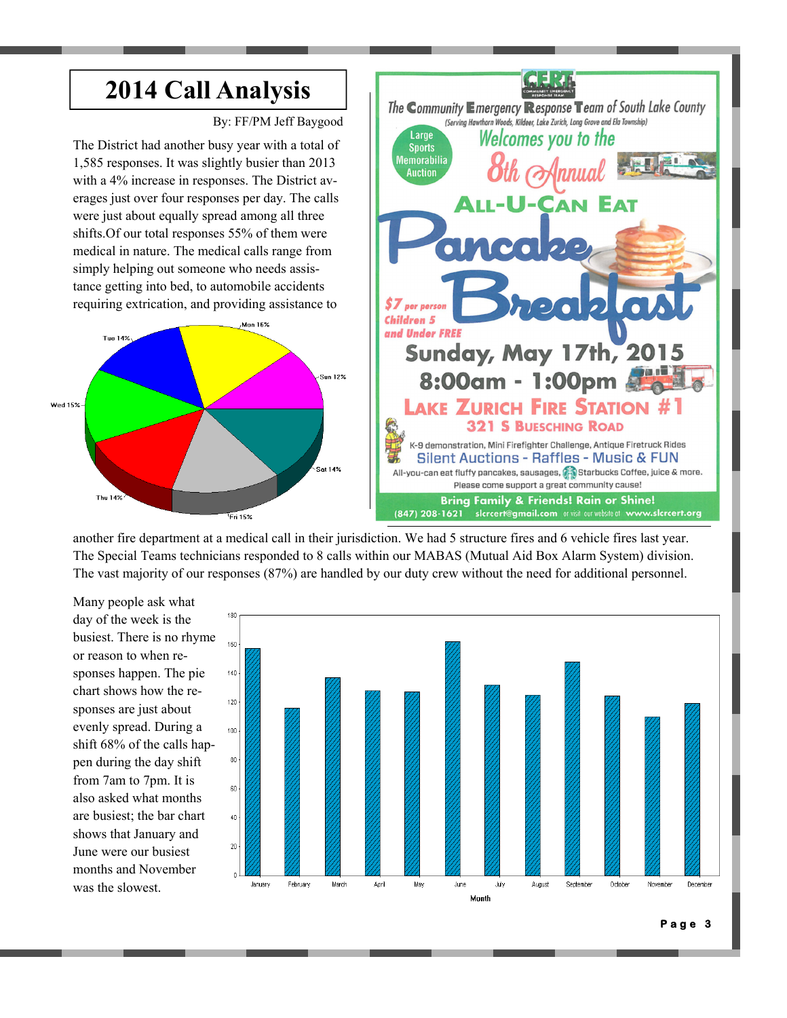

another fire department at a medical call in their jurisdiction. We had 5 structure fires and 6 vehicle fires last year. The Special Teams technicians responded to 8 calls within our MABAS (Mutual Aid Box Alarm System) division. The vast majority of our responses (87%) are handled by our duty crew without the need for additional personnel.

Many people ask what day of the week is the busiest. There is no rhyme or reason to when responses happen. The pie chart shows how the responses are just about evenly spread. During a shift 68% of the calls happen during the day shift from 7am to 7pm. It is also asked what months are busiest; the bar chart shows that January and June were our busiest months and November was the slowest.



**Page 3**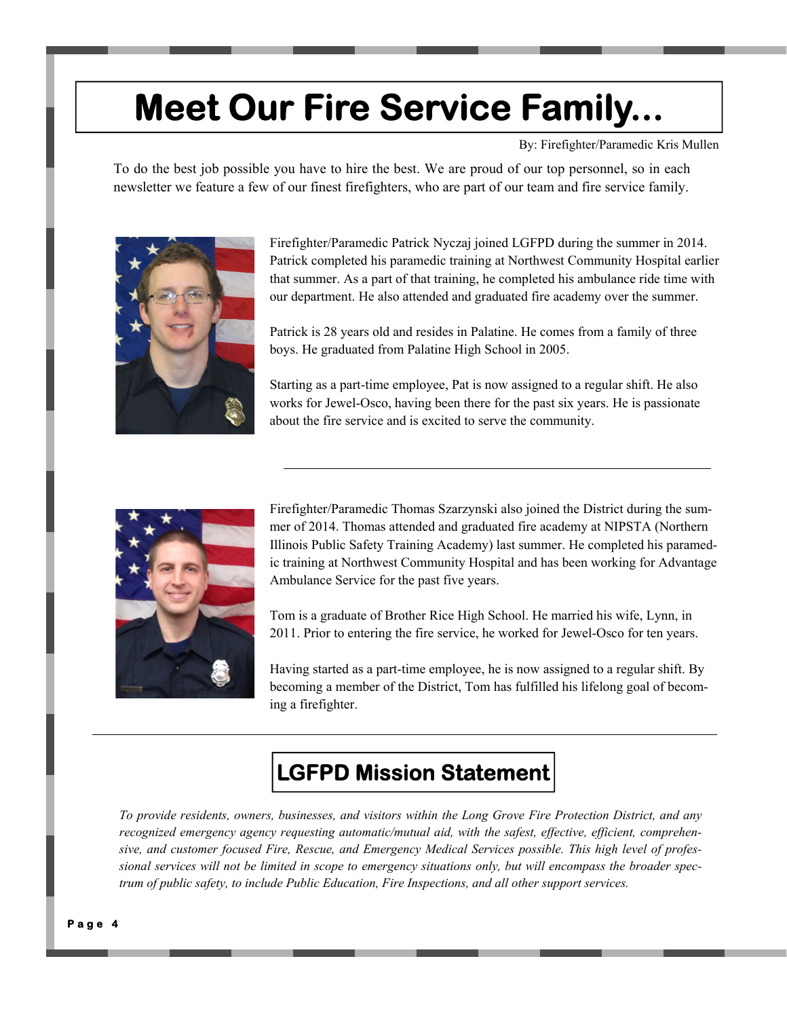## **Meet Our Fire Service Family...**

By: Firefighter/Paramedic Kris Mullen

To do the best job possible you have to hire the best. We are proud of our top personnel, so in each newsletter we feature a few of our finest firefighters, who are part of our team and fire service family.



Firefighter/Paramedic Patrick Nyczaj joined LGFPD during the summer in 2014. Patrick completed his paramedic training at Northwest Community Hospital earlier that summer. As a part of that training, he completed his ambulance ride time with our department. He also attended and graduated fire academy over the summer.

Patrick is 28 years old and resides in Palatine. He comes from a family of three boys. He graduated from Palatine High School in 2005.

Starting as a part-time employee, Pat is now assigned to a regular shift. He also works for Jewel-Osco, having been there for the past six years. He is passionate about the fire service and is excited to serve the community.



Firefighter/Paramedic Thomas Szarzynski also joined the District during the summer of 2014. Thomas attended and graduated fire academy at NIPSTA (Northern Illinois Public Safety Training Academy) last summer. He completed his paramedic training at Northwest Community Hospital and has been working for Advantage Ambulance Service for the past five years.

Tom is a graduate of Brother Rice High School. He married his wife, Lynn, in 2011. Prior to entering the fire service, he worked for Jewel-Osco for ten years.

Having started as a part-time employee, he is now assigned to a regular shift. By becoming a member of the District, Tom has fulfilled his lifelong goal of becoming a firefighter.

## **LGFPD Mission Statement**

*To provide residents, owners, businesses, and visitors within the Long Grove Fire Protection District, and any recognized emergency agency requesting automatic/mutual aid, with the safest, effective, efficient, comprehensive, and customer focused Fire, Rescue, and Emergency Medical Services possible. This high level of professional services will not be limited in scope to emergency situations only, but will encompass the broader spectrum of public safety, to include Public Education, Fire Inspections, and all other support services.*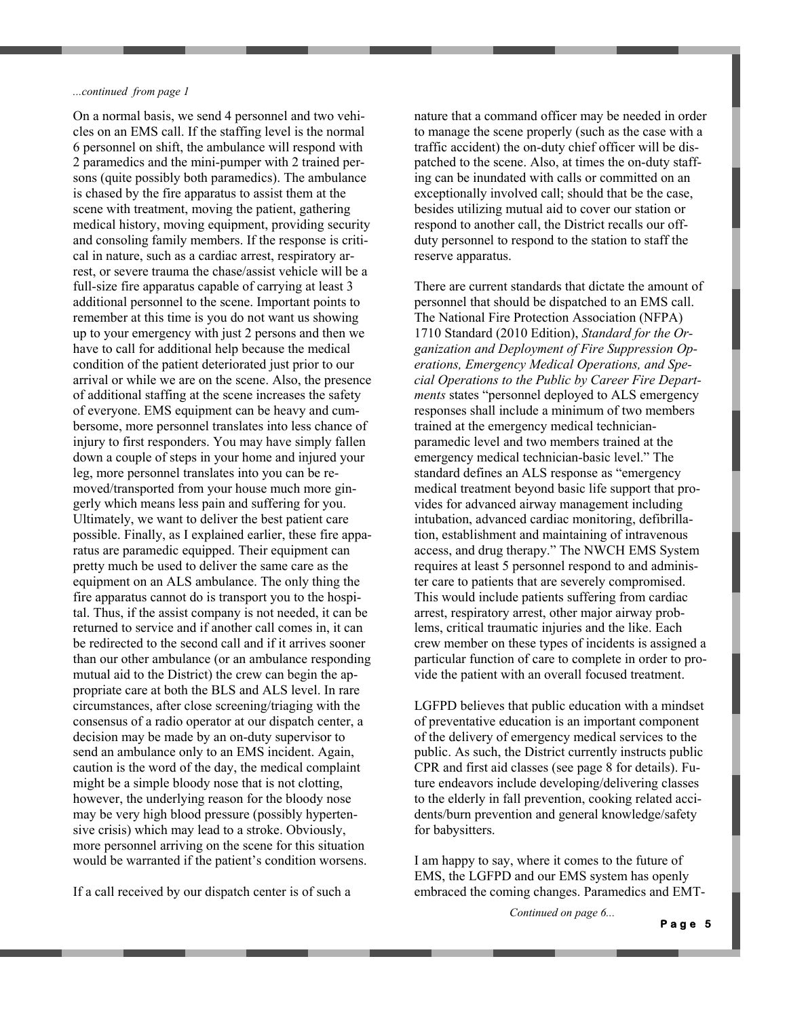#### *...continued from page 1*

On a normal basis, we send 4 personnel and two vehicles on an EMS call. If the staffing level is the normal 6 personnel on shift, the ambulance will respond with 2 paramedics and the mini-pumper with 2 trained persons (quite possibly both paramedics). The ambulance is chased by the fire apparatus to assist them at the scene with treatment, moving the patient, gathering medical history, moving equipment, providing security and consoling family members. If the response is critical in nature, such as a cardiac arrest, respiratory arrest, or severe trauma the chase/assist vehicle will be a full-size fire apparatus capable of carrying at least 3 additional personnel to the scene. Important points to remember at this time is you do not want us showing up to your emergency with just 2 persons and then we have to call for additional help because the medical condition of the patient deteriorated just prior to our arrival or while we are on the scene. Also, the presence of additional staffing at the scene increases the safety of everyone. EMS equipment can be heavy and cumbersome, more personnel translates into less chance of injury to first responders. You may have simply fallen down a couple of steps in your home and injured your leg, more personnel translates into you can be removed/transported from your house much more gingerly which means less pain and suffering for you. Ultimately, we want to deliver the best patient care possible. Finally, as I explained earlier, these fire apparatus are paramedic equipped. Their equipment can pretty much be used to deliver the same care as the equipment on an ALS ambulance. The only thing the fire apparatus cannot do is transport you to the hospital. Thus, if the assist company is not needed, it can be returned to service and if another call comes in, it can be redirected to the second call and if it arrives sooner than our other ambulance (or an ambulance responding mutual aid to the District) the crew can begin the appropriate care at both the BLS and ALS level. In rare circumstances, after close screening/triaging with the consensus of a radio operator at our dispatch center, a decision may be made by an on-duty supervisor to send an ambulance only to an EMS incident. Again, caution is the word of the day, the medical complaint might be a simple bloody nose that is not clotting, however, the underlying reason for the bloody nose may be very high blood pressure (possibly hypertensive crisis) which may lead to a stroke. Obviously, more personnel arriving on the scene for this situation would be warranted if the patient's condition worsens.

If a call received by our dispatch center is of such a

nature that a command officer may be needed in order to manage the scene properly (such as the case with a traffic accident) the on-duty chief officer will be dispatched to the scene. Also, at times the on-duty staffing can be inundated with calls or committed on an exceptionally involved call; should that be the case, besides utilizing mutual aid to cover our station or respond to another call, the District recalls our offduty personnel to respond to the station to staff the reserve apparatus.

There are current standards that dictate the amount of personnel that should be dispatched to an EMS call. The National Fire Protection Association (NFPA) 1710 Standard (2010 Edition), *Standard for the Organization and Deployment of Fire Suppression Operations, Emergency Medical Operations, and Special Operations to the Public by Career Fire Departments* states "personnel deployed to ALS emergency responses shall include a minimum of two members trained at the emergency medical technicianparamedic level and two members trained at the emergency medical technician-basic level." The standard defines an ALS response as "emergency medical treatment beyond basic life support that provides for advanced airway management including intubation, advanced cardiac monitoring, defibrillation, establishment and maintaining of intravenous access, and drug therapy." The NWCH EMS System requires at least 5 personnel respond to and administer care to patients that are severely compromised. This would include patients suffering from cardiac arrest, respiratory arrest, other major airway problems, critical traumatic injuries and the like. Each crew member on these types of incidents is assigned a particular function of care to complete in order to provide the patient with an overall focused treatment.

LGFPD believes that public education with a mindset of preventative education is an important component of the delivery of emergency medical services to the public. As such, the District currently instructs public CPR and first aid classes (see page 8 for details). Future endeavors include developing/delivering classes to the elderly in fall prevention, cooking related accidents/burn prevention and general knowledge/safety for babysitters.

I am happy to say, where it comes to the future of EMS, the LGFPD and our EMS system has openly embraced the coming changes. Paramedics and EMT-

*Continued on page 6...* 

**Page 5**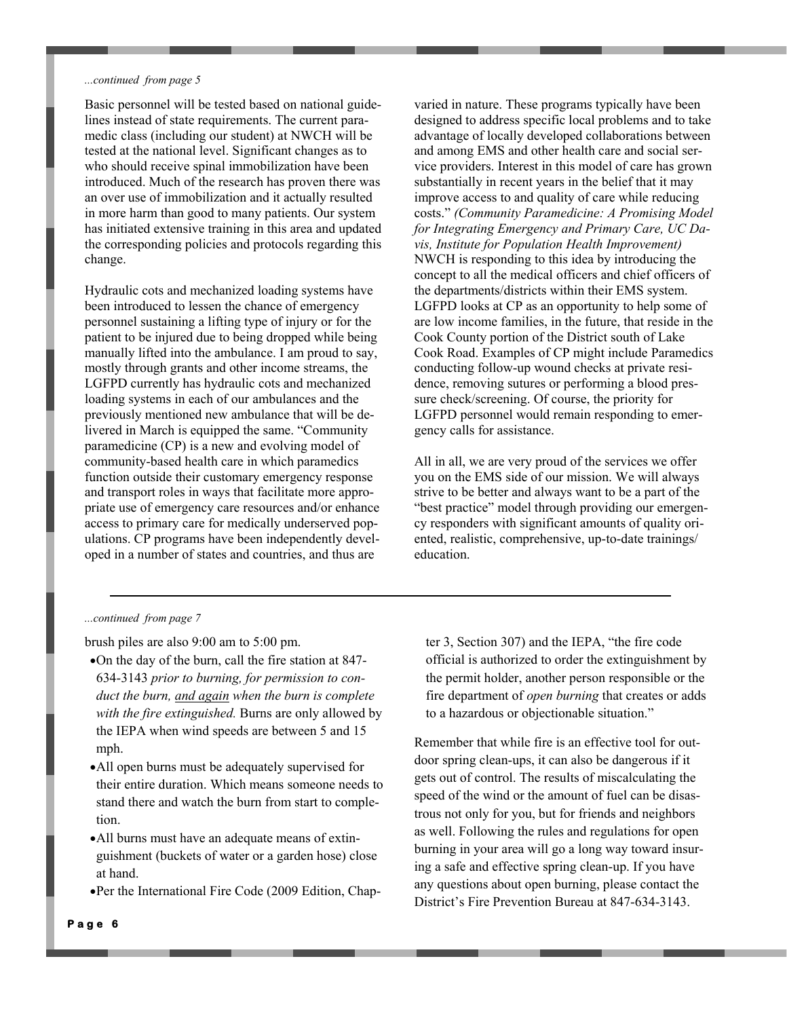#### *...continued from page 5*

Basic personnel will be tested based on national guidelines instead of state requirements. The current paramedic class (including our student) at NWCH will be tested at the national level. Significant changes as to who should receive spinal immobilization have been introduced. Much of the research has proven there was an over use of immobilization and it actually resulted in more harm than good to many patients. Our system has initiated extensive training in this area and updated the corresponding policies and protocols regarding this change.

Hydraulic cots and mechanized loading systems have been introduced to lessen the chance of emergency personnel sustaining a lifting type of injury or for the patient to be injured due to being dropped while being manually lifted into the ambulance. I am proud to say, mostly through grants and other income streams, the LGFPD currently has hydraulic cots and mechanized loading systems in each of our ambulances and the previously mentioned new ambulance that will be delivered in March is equipped the same. "Community paramedicine (CP) is a new and evolving model of community-based health care in which paramedics function outside their customary emergency response and transport roles in ways that facilitate more appropriate use of emergency care resources and/or enhance access to primary care for medically underserved populations. CP programs have been independently developed in a number of states and countries, and thus are

varied in nature. These programs typically have been designed to address specific local problems and to take advantage of locally developed collaborations between and among EMS and other health care and social service providers. Interest in this model of care has grown substantially in recent years in the belief that it may improve access to and quality of care while reducing costs." *(Community Paramedicine: A Promising Model for Integrating Emergency and Primary Care, UC Davis, Institute for Population Health Improvement)* NWCH is responding to this idea by introducing the concept to all the medical officers and chief officers of the departments/districts within their EMS system. LGFPD looks at CP as an opportunity to help some of are low income families, in the future, that reside in the Cook County portion of the District south of Lake Cook Road. Examples of CP might include Paramedics conducting follow-up wound checks at private residence, removing sutures or performing a blood pressure check/screening. Of course, the priority for LGFPD personnel would remain responding to emergency calls for assistance.

All in all, we are very proud of the services we offer you on the EMS side of our mission. We will always strive to be better and always want to be a part of the "best practice" model through providing our emergency responders with significant amounts of quality oriented, realistic, comprehensive, up-to-date trainings/ education.

#### *...continued from page 7*

brush piles are also 9:00 am to 5:00 pm.

- On the day of the burn, call the fire station at 847- 634-3143 *prior to burning, for permission to conduct the burn, and again when the burn is complete with the fire extinguished.* Burns are only allowed by the IEPA when wind speeds are between 5 and 15 mph.
- All open burns must be adequately supervised for their entire duration. Which means someone needs to stand there and watch the burn from start to completion.
- All burns must have an adequate means of extinguishment (buckets of water or a garden hose) close at hand.
- Per the International Fire Code (2009 Edition, Chap-

ter 3, Section 307) and the IEPA, "the fire code official is authorized to order the extinguishment by the permit holder, another person responsible or the fire department of *open burning* that creates or adds to a hazardous or objectionable situation."

Remember that while fire is an effective tool for outdoor spring clean-ups, it can also be dangerous if it gets out of control. The results of miscalculating the speed of the wind or the amount of fuel can be disastrous not only for you, but for friends and neighbors as well. Following the rules and regulations for open burning in your area will go a long way toward insuring a safe and effective spring clean-up. If you have any questions about open burning, please contact the District's Fire Prevention Bureau at 847-634-3143.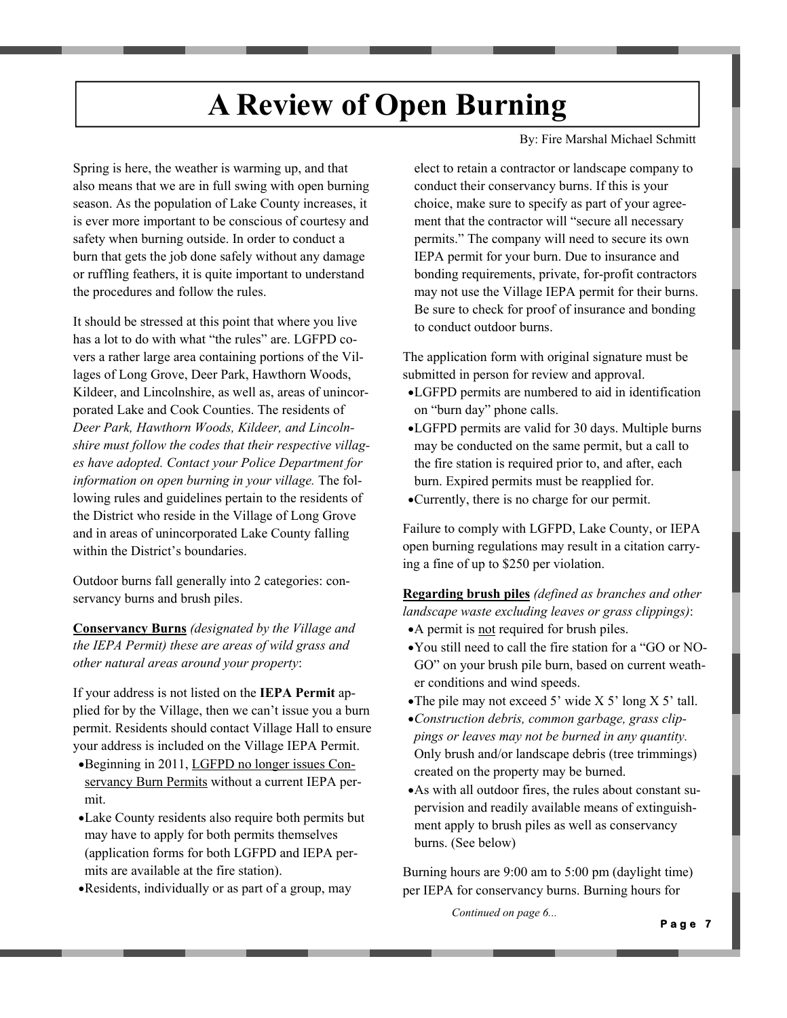## **A Review of Open Burning**

By: Fire Marshal Michael Schmitt

Spring is here, the weather is warming up, and that also means that we are in full swing with open burning season. As the population of Lake County increases, it is ever more important to be conscious of courtesy and safety when burning outside. In order to conduct a burn that gets the job done safely without any damage or ruffling feathers, it is quite important to understand the procedures and follow the rules.

It should be stressed at this point that where you live has a lot to do with what "the rules" are. LGFPD covers a rather large area containing portions of the Villages of Long Grove, Deer Park, Hawthorn Woods, Kildeer, and Lincolnshire, as well as, areas of unincorporated Lake and Cook Counties. The residents of *Deer Park, Hawthorn Woods, Kildeer, and Lincolnshire must follow the codes that their respective villages have adopted. Contact your Police Department for information on open burning in your village.* The following rules and guidelines pertain to the residents of the District who reside in the Village of Long Grove and in areas of unincorporated Lake County falling within the District's boundaries.

Outdoor burns fall generally into 2 categories: conservancy burns and brush piles.

**Conservancy Burns** *(designated by the Village and the IEPA Permit) these are areas of wild grass and other natural areas around your property*:

If your address is not listed on the **IEPA Permit** applied for by the Village, then we can't issue you a burn permit. Residents should contact Village Hall to ensure your address is included on the Village IEPA Permit.

- Beginning in 2011, LGFPD no longer issues Conservancy Burn Permits without a current IEPA permit.
- Lake County residents also require both permits but may have to apply for both permits themselves (application forms for both LGFPD and IEPA permits are available at the fire station).
- Residents, individually or as part of a group, may

elect to retain a contractor or landscape company to conduct their conservancy burns. If this is your choice, make sure to specify as part of your agreement that the contractor will "secure all necessary permits." The company will need to secure its own IEPA permit for your burn. Due to insurance and bonding requirements, private, for-profit contractors may not use the Village IEPA permit for their burns. Be sure to check for proof of insurance and bonding to conduct outdoor burns.

The application form with original signature must be submitted in person for review and approval.

- LGFPD permits are numbered to aid in identification on "burn day" phone calls.
- LGFPD permits are valid for 30 days. Multiple burns may be conducted on the same permit, but a call to the fire station is required prior to, and after, each burn. Expired permits must be reapplied for.
- Currently, there is no charge for our permit.

Failure to comply with LGFPD, Lake County, or IEPA open burning regulations may result in a citation carrying a fine of up to \$250 per violation.

**Regarding brush piles** *(defined as branches and other landscape waste excluding leaves or grass clippings)*: A permit is not required for brush piles.

- You still need to call the fire station for a "GO or NO-GO" on your brush pile burn, based on current weather conditions and wind speeds.
- The pile may not exceed 5' wide  $X$  5' long  $X$  5' tall.
- *Construction debris, common garbage, grass clippings or leaves may not be burned in any quantity.*  Only brush and/or landscape debris (tree trimmings) created on the property may be burned.
- As with all outdoor fires, the rules about constant supervision and readily available means of extinguishment apply to brush piles as well as conservancy burns. (See below)

Burning hours are 9:00 am to 5:00 pm (daylight time) per IEPA for conservancy burns. Burning hours for

*Continued on page 6...*